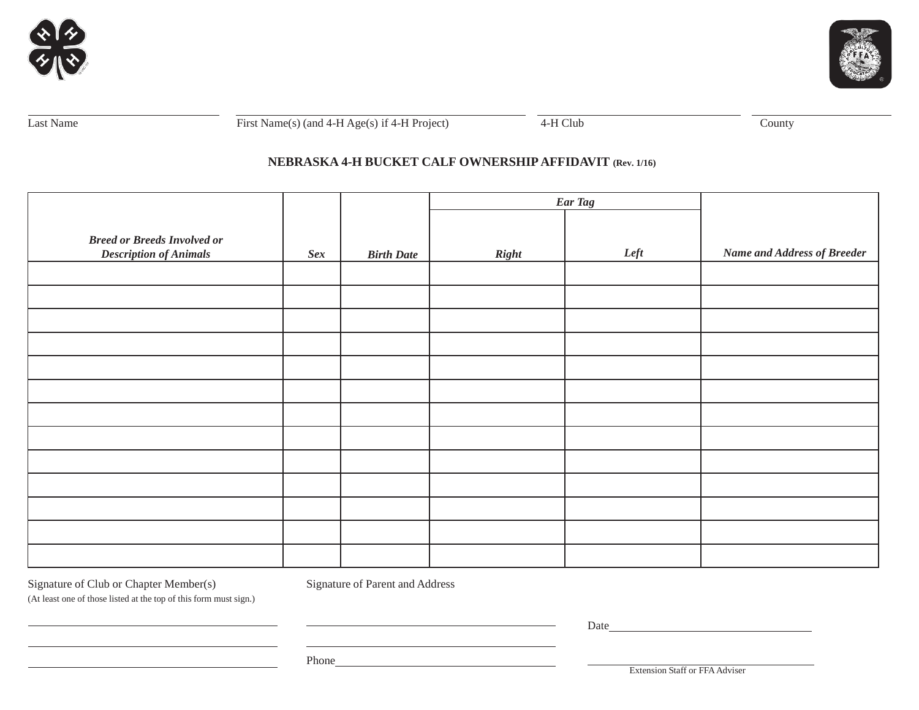



Last Name First Name(s) (and  $4-H \text{ Age(s)}$  if  $4-H \text{ Project}$ )  $\overline{4-H \text{ Club}}$  County

# **NEBRASKA 4-H BUCKET CALF OWNERSHIP AFFIDAVIT (Rev. 1/16)**

|                                    |     |                   | Ear Tag      |      |                                    |
|------------------------------------|-----|-------------------|--------------|------|------------------------------------|
|                                    |     |                   |              |      |                                    |
| <b>Breed or Breeds Involved or</b> |     |                   |              |      |                                    |
| <b>Description of Animals</b>      | Sex | <b>Birth Date</b> | <b>Right</b> | Left | <b>Name and Address of Breeder</b> |
|                                    |     |                   |              |      |                                    |
|                                    |     |                   |              |      |                                    |
|                                    |     |                   |              |      |                                    |
|                                    |     |                   |              |      |                                    |
|                                    |     |                   |              |      |                                    |
|                                    |     |                   |              |      |                                    |
|                                    |     |                   |              |      |                                    |
|                                    |     |                   |              |      |                                    |
|                                    |     |                   |              |      |                                    |
|                                    |     |                   |              |      |                                    |
|                                    |     |                   |              |      |                                    |
|                                    |     |                   |              |      |                                    |
|                                    |     |                   |              |      |                                    |

Signature of Club or Chapter Member(s) Signature of Parent and Address

(At least one of those listed at the top of this form must sign.)

Date and the contract of the contract of the contract of the contract of the contract of the contract of the contract of the contract of the contract of the contract of the contract of the contract of the contract of the c

Phone **Phone** 

Extension Staff or FFA Adviser